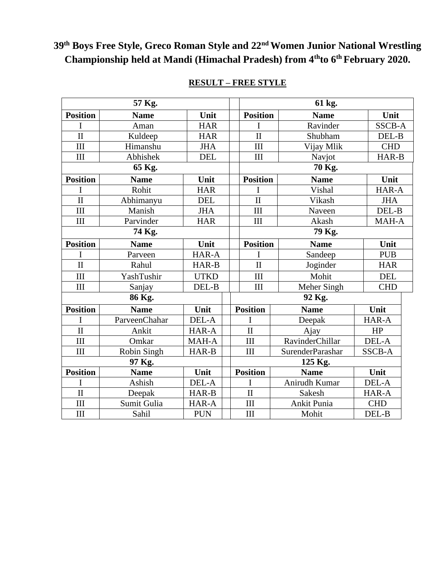# **39th Boys Free Style, Greco Roman Style and 22nd Women Junior National Wrestling Championship held at Mandi (Himachal Pradesh) from 4thto 6th February 2020.**

| 57 Kg.                  |               |             |  | 61 kg.              |                        |            |               |  |
|-------------------------|---------------|-------------|--|---------------------|------------------------|------------|---------------|--|
| <b>Position</b>         | <b>Name</b>   | Unit        |  | <b>Position</b>     | <b>Name</b>            |            | Unit          |  |
| I                       | Aman          | <b>HAR</b>  |  | I                   | Ravinder               |            | <b>SSCB-A</b> |  |
| $\overline{\mathbf{H}}$ | Kuldeep       | <b>HAR</b>  |  | $\mathbf{I}$        | Shubham                |            | DEL-B         |  |
| III                     | Himanshu      | <b>JHA</b>  |  | III                 | Vijay Mlik             |            | <b>CHD</b>    |  |
| III                     | Abhishek      | <b>DEL</b>  |  | III                 | Navjot                 |            | HAR-B         |  |
| 65 Kg.                  |               |             |  | 70 Kg.              |                        |            |               |  |
| <b>Position</b>         | <b>Name</b>   | Unit        |  | <b>Position</b>     | <b>Name</b>            |            | Unit          |  |
| I                       | Rohit         | <b>HAR</b>  |  | I                   | Vishal                 |            | HAR-A         |  |
| $\overline{\rm II}$     | Abhimanyu     | <b>DEL</b>  |  | $\overline{\rm II}$ | Vikash                 | <b>JHA</b> |               |  |
| III                     | Manish        | <b>JHA</b>  |  | III                 | Naveen                 | DEL-B      |               |  |
| III                     | Parvinder     | <b>HAR</b>  |  | III                 | Akash                  | MAH-A      |               |  |
|                         | 74 Kg.        |             |  | 79 Kg.              |                        |            |               |  |
| <b>Position</b>         | <b>Name</b>   | Unit        |  | <b>Position</b>     | <b>Name</b>            |            | Unit          |  |
| I                       | Parveen       | HAR-A       |  | I                   | Sandeep                |            | <b>PUB</b>    |  |
| $\overline{\rm II}$     | Rahul         | HAR-B       |  | $\mathbf{I}$        | Joginder               | <b>HAR</b> |               |  |
| III                     | YashTushir    | <b>UTKD</b> |  | III                 | Mohit                  | <b>DEL</b> |               |  |
| III                     | Sanjay        | DEL-B       |  | III                 | Meher Singh            | <b>CHD</b> |               |  |
| 86 Kg.                  |               |             |  | 92 Kg.              |                        |            |               |  |
| <b>Position</b>         | <b>Name</b>   | Unit        |  | <b>Position</b>     | <b>Name</b>            |            | Unit          |  |
| I                       | ParveenChahar | DEL-A       |  | I                   | Deepak                 |            | HAR-A         |  |
| $\overline{\rm II}$     | Ankit         | HAR-A       |  | $\overline{\rm II}$ | Ajay                   |            | HP            |  |
| III                     | Omkar         | MAH-A       |  | III                 | <b>RavinderChillar</b> |            | DEL-A         |  |
| III                     | Robin Singh   | HAR-B       |  | III                 | SurenderParashar       |            | <b>SSCB-A</b> |  |
| 97 Kg.                  |               |             |  | 125 Kg.             |                        |            |               |  |
| <b>Position</b>         | <b>Name</b>   | Unit        |  | <b>Position</b>     | <b>Name</b>            |            | Unit          |  |
| I                       | Ashish        | DEL-A       |  | I                   | Anirudh Kumar          |            | DEL-A         |  |
| $\overline{\rm II}$     | Deepak        | HAR-B       |  | $\mathbf{I}$        | Sakesh                 |            | HAR-A         |  |
| III                     | Sumit Gulia   | HAR-A       |  | III                 | Ankit Punia            |            | <b>CHD</b>    |  |
| III                     | Sahil         | <b>PUN</b>  |  | III                 | Mohit                  |            | DEL-B         |  |

## **RESULT – FREE STYLE**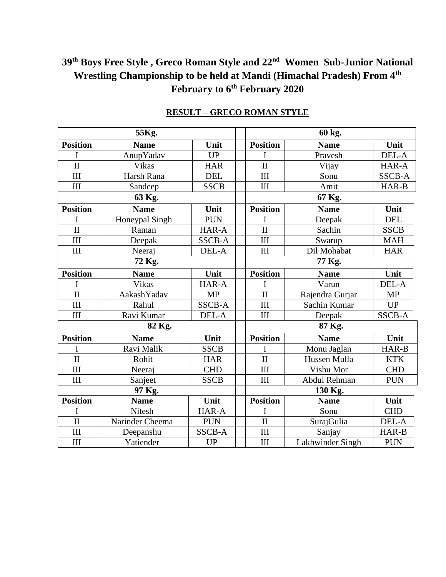### **39th Boys Free Style , Greco Roman Style and 22nd Women Sub-Junior National Wrestling Championship to be held at Mandi (Himachal Pradesh) From 4th February to 6th February 2020**

|                         | 55Kg.           |               | 60 kg.              |                  |               |  |  |
|-------------------------|-----------------|---------------|---------------------|------------------|---------------|--|--|
| <b>Position</b>         | <b>Name</b>     | Unit          | <b>Position</b>     | <b>Name</b>      | Unit          |  |  |
| I                       | AnupYadav       | <b>UP</b>     | I                   | Pravesh          | DEL-A         |  |  |
| $\overline{\rm II}$     | Vikas           | <b>HAR</b>    | $\overline{\rm II}$ | Vijay            | HAR-A         |  |  |
| III                     | Harsh Rana      | <b>DEL</b>    | III                 | Sonu             | <b>SSCB-A</b> |  |  |
| III                     | Sandeep         | <b>SSCB</b>   | III                 | Amit             | HAR-B         |  |  |
|                         | 63 Kg.          |               |                     | 67 Kg.           |               |  |  |
| <b>Position</b>         | <b>Name</b>     | Unit          | <b>Position</b>     | <b>Name</b>      | Unit          |  |  |
|                         | Honeypal Singh  | <b>PUN</b>    | I                   | Deepak           | <b>DEL</b>    |  |  |
| $\overline{\rm II}$     | Raman           | HAR-A         | $\overline{\rm II}$ | Sachin           | <b>SSCB</b>   |  |  |
| $\overline{III}$        | Deepak          | <b>SSCB-A</b> | III                 | Swarup           | <b>MAH</b>    |  |  |
| III                     | Neeraj          | DEL-A         | III                 | Dil Mohabat      | <b>HAR</b>    |  |  |
|                         | 72 Kg.          |               | 77 Kg.              |                  |               |  |  |
| <b>Position</b>         | <b>Name</b>     | Unit          | <b>Position</b>     | <b>Name</b>      | Unit          |  |  |
| I                       | Vikas           | HAR-A         | I                   | Varun            | DEL-A         |  |  |
| $\mathbf{I}$            | AakashYadav     | <b>MP</b>     | $\overline{\rm II}$ | Rajendra Gurjar  | <b>MP</b>     |  |  |
| III                     | Rahul           | <b>SSCB-A</b> | III                 | Sachin Kumar     | <b>UP</b>     |  |  |
| III                     | Ravi Kumar      | DEL-A         | III                 | Deepak           | <b>SSCB-A</b> |  |  |
|                         | 82 Kg.          |               | 87 Kg.              |                  |               |  |  |
| <b>Position</b>         | <b>Name</b>     | Unit          | <b>Position</b>     | <b>Name</b>      | Unit          |  |  |
| I                       | Ravi Malik      | <b>SSCB</b>   | I                   | Monu Jaglan      | HAR-B         |  |  |
| $\mathbf{I}$            | Rohit           | <b>HAR</b>    | $\overline{\rm II}$ | Hussen Mulla     | <b>KTK</b>    |  |  |
| $\overline{\hbox{III}}$ | Neeraj          | <b>CHD</b>    | III                 | Vishu Mor        | <b>CHD</b>    |  |  |
| III                     | Sanjeet         | <b>SSCB</b>   | III                 | Abdul Rehman     | <b>PUN</b>    |  |  |
|                         | 97 Kg.          |               | 130 Kg.             |                  |               |  |  |
| <b>Position</b>         | <b>Name</b>     | Unit          | <b>Position</b>     | <b>Name</b>      | Unit          |  |  |
| I                       | Nitesh          | HAR-A         | I                   | Sonu             | <b>CHD</b>    |  |  |
| $\mathbf{I}$            | Narinder Cheema | <b>PUN</b>    | $\mathbf{I}$        | SurajGulia       | DEL-A         |  |  |
| III                     | Deepanshu       | <b>SSCB-A</b> | III                 | Sanjay           | HAR-B         |  |  |
| III                     | Yatiender       | <b>UP</b>     | III                 | Lakhwinder Singh | <b>PUN</b>    |  |  |

#### **RESULT – GRECO ROMAN STYLE**